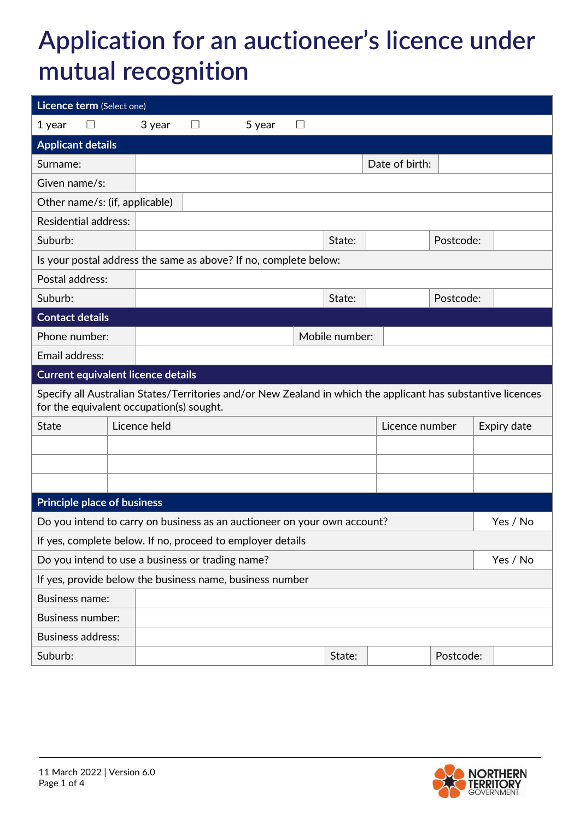## **Application for an auctioneer's licence under mutual recognition**

| Licence term (Select one)                                                                                                                                |                             |              |   |        |   |                |                |           |  |             |
|----------------------------------------------------------------------------------------------------------------------------------------------------------|-----------------------------|--------------|---|--------|---|----------------|----------------|-----------|--|-------------|
| 1 year                                                                                                                                                   |                             | 3 year       | ப | 5 year | ப |                |                |           |  |             |
| <b>Applicant details</b>                                                                                                                                 |                             |              |   |        |   |                |                |           |  |             |
| Surname:                                                                                                                                                 | Date of birth:              |              |   |        |   |                |                |           |  |             |
| Given name/s:                                                                                                                                            |                             |              |   |        |   |                |                |           |  |             |
| Other name/s: (if, applicable)                                                                                                                           |                             |              |   |        |   |                |                |           |  |             |
|                                                                                                                                                          | <b>Residential address:</b> |              |   |        |   |                |                |           |  |             |
| Suburb:                                                                                                                                                  |                             |              |   |        |   | State:         |                | Postcode: |  |             |
| Is your postal address the same as above? If no, complete below:                                                                                         |                             |              |   |        |   |                |                |           |  |             |
| Postal address:                                                                                                                                          |                             |              |   |        |   |                |                |           |  |             |
| Suburb:                                                                                                                                                  |                             |              |   |        |   | State:         | Postcode:      |           |  |             |
| <b>Contact details</b>                                                                                                                                   |                             |              |   |        |   |                |                |           |  |             |
| Phone number:                                                                                                                                            |                             |              |   |        |   | Mobile number: |                |           |  |             |
| Email address:                                                                                                                                           |                             |              |   |        |   |                |                |           |  |             |
| <b>Current equivalent licence details</b>                                                                                                                |                             |              |   |        |   |                |                |           |  |             |
| Specify all Australian States/Territories and/or New Zealand in which the applicant has substantive licences<br>for the equivalent occupation(s) sought. |                             |              |   |        |   |                |                |           |  |             |
| <b>State</b>                                                                                                                                             |                             | Licence held |   |        |   |                | Licence number |           |  | Expiry date |
|                                                                                                                                                          |                             |              |   |        |   |                |                |           |  |             |
|                                                                                                                                                          |                             |              |   |        |   |                |                |           |  |             |
|                                                                                                                                                          |                             |              |   |        |   |                |                |           |  |             |
| <b>Principle place of business</b>                                                                                                                       |                             |              |   |        |   |                |                |           |  |             |
| Yes / No<br>Do you intend to carry on business as an auctioneer on your own account?                                                                     |                             |              |   |        |   |                |                |           |  |             |
| If yes, complete below. If no, proceed to employer details                                                                                               |                             |              |   |        |   |                |                |           |  |             |
| Do you intend to use a business or trading name?<br>Yes / No                                                                                             |                             |              |   |        |   |                |                |           |  |             |
| If yes, provide below the business name, business number                                                                                                 |                             |              |   |        |   |                |                |           |  |             |
|                                                                                                                                                          | <b>Business name:</b>       |              |   |        |   |                |                |           |  |             |
|                                                                                                                                                          | <b>Business number:</b>     |              |   |        |   |                |                |           |  |             |
|                                                                                                                                                          | <b>Business address:</b>    |              |   |        |   |                |                |           |  |             |
| Suburb:                                                                                                                                                  |                             |              |   |        |   | State:         | Postcode:      |           |  |             |

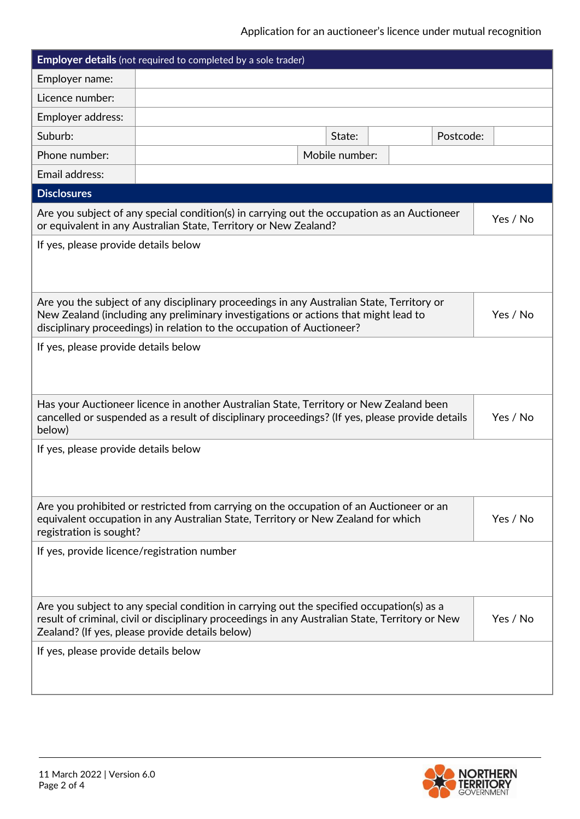## Application for an auctioneer's licence under mutual recognition

| <b>Employer details</b> (not required to completed by a sole trader)                                                                                                                                                                                        |                                                                                                                                                                                                                                                            |  |                |  |           |          |
|-------------------------------------------------------------------------------------------------------------------------------------------------------------------------------------------------------------------------------------------------------------|------------------------------------------------------------------------------------------------------------------------------------------------------------------------------------------------------------------------------------------------------------|--|----------------|--|-----------|----------|
| Employer name:                                                                                                                                                                                                                                              |                                                                                                                                                                                                                                                            |  |                |  |           |          |
| Licence number:                                                                                                                                                                                                                                             |                                                                                                                                                                                                                                                            |  |                |  |           |          |
| Employer address:                                                                                                                                                                                                                                           |                                                                                                                                                                                                                                                            |  |                |  |           |          |
| Suburb:                                                                                                                                                                                                                                                     |                                                                                                                                                                                                                                                            |  | State:         |  | Postcode: |          |
| Phone number:                                                                                                                                                                                                                                               |                                                                                                                                                                                                                                                            |  | Mobile number: |  |           |          |
| Email address:                                                                                                                                                                                                                                              |                                                                                                                                                                                                                                                            |  |                |  |           |          |
| <b>Disclosures</b>                                                                                                                                                                                                                                          |                                                                                                                                                                                                                                                            |  |                |  |           |          |
|                                                                                                                                                                                                                                                             | Are you subject of any special condition(s) in carrying out the occupation as an Auctioneer<br>Yes / No<br>or equivalent in any Australian State, Territory or New Zealand?                                                                                |  |                |  |           |          |
| If yes, please provide details below                                                                                                                                                                                                                        |                                                                                                                                                                                                                                                            |  |                |  |           |          |
|                                                                                                                                                                                                                                                             | Are you the subject of any disciplinary proceedings in any Australian State, Territory or<br>New Zealand (including any preliminary investigations or actions that might lead to<br>disciplinary proceedings) in relation to the occupation of Auctioneer? |  |                |  |           | Yes / No |
| If yes, please provide details below                                                                                                                                                                                                                        |                                                                                                                                                                                                                                                            |  |                |  |           |          |
| Has your Auctioneer licence in another Australian State, Territory or New Zealand been<br>cancelled or suspended as a result of disciplinary proceedings? (If yes, please provide details<br>Yes / No<br>below)                                             |                                                                                                                                                                                                                                                            |  |                |  |           |          |
| If yes, please provide details below                                                                                                                                                                                                                        |                                                                                                                                                                                                                                                            |  |                |  |           |          |
| Are you prohibited or restricted from carrying on the occupation of an Auctioneer or an<br>Yes / No<br>equivalent occupation in any Australian State, Territory or New Zealand for which<br>registration is sought?                                         |                                                                                                                                                                                                                                                            |  |                |  |           |          |
| If yes, provide licence/registration number                                                                                                                                                                                                                 |                                                                                                                                                                                                                                                            |  |                |  |           |          |
| Are you subject to any special condition in carrying out the specified occupation(s) as a<br>result of criminal, civil or disciplinary proceedings in any Australian State, Territory or New<br>Yes / No<br>Zealand? (If yes, please provide details below) |                                                                                                                                                                                                                                                            |  |                |  |           |          |
| If yes, please provide details below                                                                                                                                                                                                                        |                                                                                                                                                                                                                                                            |  |                |  |           |          |

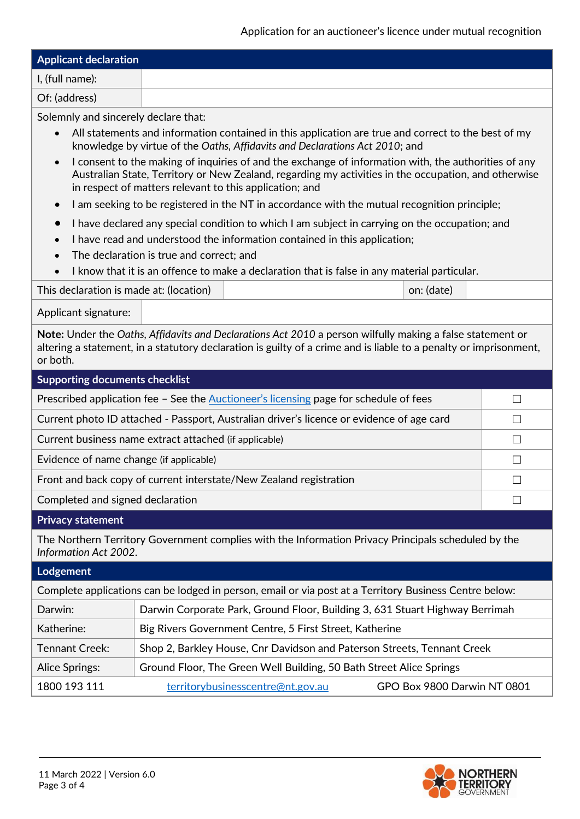Application for an auctioneer's licence under mutual recognition

| <b>Applicant declaration</b> |  |
|------------------------------|--|
| $\vert$ I, (full name):      |  |
| Of: (address)                |  |

Solemnly and sincerely declare that:

- All statements and information contained in this application are true and correct to the best of my knowledge by virtue of the *Oaths, Affidavits and Declarations Act 2010*; and
- I consent to the making of inquiries of and the exchange of information with, the authorities of any Australian State, Territory or New Zealand, regarding my activities in the occupation, and otherwise in respect of matters relevant to this application; and
- I am seeking to be registered in the NT in accordance with the mutual recognition principle;
- I have declared any special condition to which I am subject in carrying on the occupation; and
- I have read and understood the information contained in this application;
- The declaration is true and correct; and
- I know that it is an offence to make a declaration that is false in any material particular.

| This declaration is made at: (location) |  | on: (date) |
|-----------------------------------------|--|------------|
|-----------------------------------------|--|------------|

Applicant signature:

**Note:** Under the *Oaths, Affidavits and Declarations Act 2010* a person wilfully making a false statement or altering a statement, in a statutory declaration is guilty of a crime and is liable to a penalty or imprisonment, or both.

| <b>Supporting documents checklist</b>                                                                                        |                                                                              |  |  |  |  |
|------------------------------------------------------------------------------------------------------------------------------|------------------------------------------------------------------------------|--|--|--|--|
| Prescribed application fee - See the Auctioneer's licensing page for schedule of fees                                        |                                                                              |  |  |  |  |
| Current photo ID attached - Passport, Australian driver's licence or evidence of age card                                    |                                                                              |  |  |  |  |
| Current business name extract attached (if applicable)                                                                       |                                                                              |  |  |  |  |
| Evidence of name change (if applicable)                                                                                      |                                                                              |  |  |  |  |
| Front and back copy of current interstate/New Zealand registration                                                           |                                                                              |  |  |  |  |
| Completed and signed declaration                                                                                             |                                                                              |  |  |  |  |
| <b>Privacy statement</b>                                                                                                     |                                                                              |  |  |  |  |
| The Northern Territory Government complies with the Information Privacy Principals scheduled by the<br>Information Act 2002. |                                                                              |  |  |  |  |
| Lodgement                                                                                                                    |                                                                              |  |  |  |  |
| Complete applications can be lodged in person, email or via post at a Territory Business Centre below:                       |                                                                              |  |  |  |  |
| Darwin:                                                                                                                      | Darwin Corporate Park, Ground Floor, Building 3, 631 Stuart Highway Berrimah |  |  |  |  |
| Katherine:                                                                                                                   | Big Rivers Government Centre, 5 First Street, Katherine                      |  |  |  |  |
| <b>Tennant Creek:</b>                                                                                                        | Shop 2, Barkley House, Cnr Davidson and Paterson Streets, Tennant Creek      |  |  |  |  |
| Alice Springs:                                                                                                               | Ground Floor, The Green Well Building, 50 Bath Street Alice Springs          |  |  |  |  |
|                                                                                                                              |                                                                              |  |  |  |  |